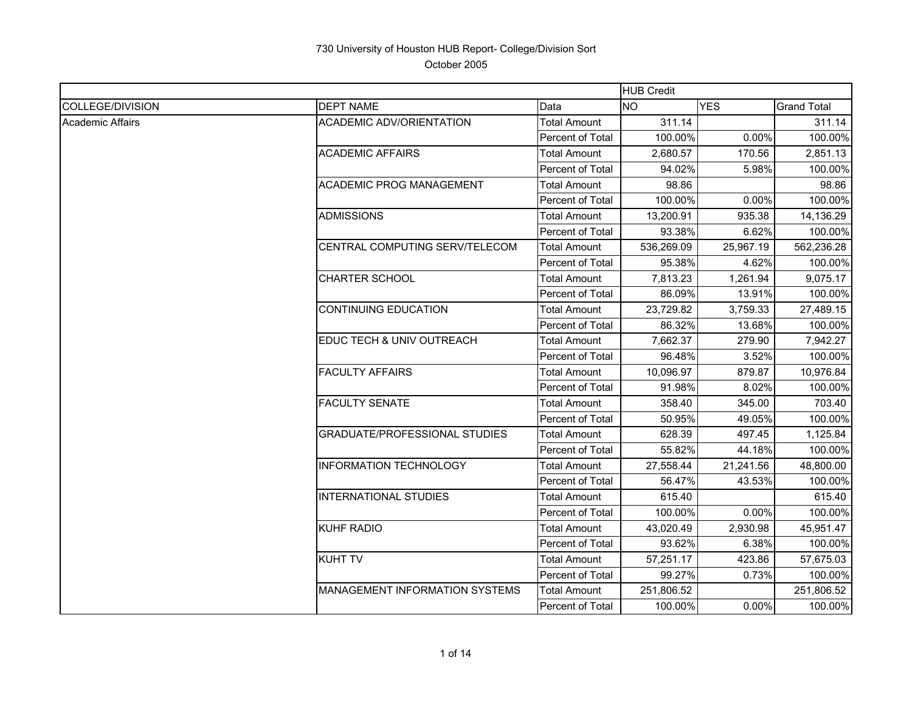|                         |                                      |                     | <b>HUB Credit</b> |            |                    |
|-------------------------|--------------------------------------|---------------------|-------------------|------------|--------------------|
| COLLEGE/DIVISION        | <b>DEPT NAME</b>                     | Data                | <b>NO</b>         | <b>YES</b> | <b>Grand Total</b> |
| <b>Academic Affairs</b> | <b>ACADEMIC ADV/ORIENTATION</b>      | Total Amount        | 311.14            |            | 311.14             |
|                         |                                      | Percent of Total    | 100.00%           | 0.00%      | 100.00%            |
|                         | <b>ACADEMIC AFFAIRS</b>              | Total Amount        | 2,680.57          | 170.56     | 2,851.13           |
|                         |                                      | Percent of Total    | 94.02%            | 5.98%      | 100.00%            |
|                         | <b>ACADEMIC PROG MANAGEMENT</b>      | Total Amount        | 98.86             |            | 98.86              |
|                         |                                      | Percent of Total    | 100.00%           | 0.00%      | 100.00%            |
|                         | <b>ADMISSIONS</b>                    | Total Amount        | 13,200.91         | 935.38     | 14,136.29          |
|                         |                                      | Percent of Total    | 93.38%            | 6.62%      | 100.00%            |
|                         | CENTRAL COMPUTING SERV/TELECOM       | Total Amount        | 536,269.09        | 25,967.19  | 562,236.28         |
|                         |                                      | Percent of Total    | 95.38%            | 4.62%      | 100.00%            |
|                         | <b>CHARTER SCHOOL</b>                | <b>Total Amount</b> | 7,813.23          | 1.261.94   | 9,075.17           |
|                         |                                      | Percent of Total    | 86.09%            | 13.91%     | 100.00%            |
|                         | <b>CONTINUING EDUCATION</b>          | Total Amount        | 23,729.82         | 3,759.33   | 27,489.15          |
|                         |                                      | Percent of Total    | 86.32%            | 13.68%     | 100.00%            |
|                         | EDUC TECH & UNIV OUTREACH            | Total Amount        | 7,662.37          | 279.90     | 7,942.27           |
|                         |                                      | Percent of Total    | 96.48%            | 3.52%      | 100.00%            |
|                         | <b>FACULTY AFFAIRS</b>               | Total Amount        | 10,096.97         | 879.87     | 10,976.84          |
|                         |                                      | Percent of Total    | 91.98%            | 8.02%      | 100.00%            |
|                         | <b>FACULTY SENATE</b>                | <b>Total Amount</b> | 358.40            | 345.00     | 703.40             |
|                         |                                      | Percent of Total    | 50.95%            | 49.05%     | 100.00%            |
|                         | <b>GRADUATE/PROFESSIONAL STUDIES</b> | Total Amount        | 628.39            | 497.45     | 1,125.84           |
|                         |                                      | Percent of Total    | 55.82%            | 44.18%     | 100.00%            |
|                         | <b>INFORMATION TECHNOLOGY</b>        | <b>Total Amount</b> | 27,558.44         | 21,241.56  | 48,800.00          |
|                         |                                      | Percent of Total    | 56.47%            | 43.53%     | 100.00%            |
|                         | <b>IINTERNATIONAL STUDIES</b>        | Total Amount        | 615.40            |            | 615.40             |
|                         |                                      | Percent of Total    | 100.00%           | 0.00%      | 100.00%            |
|                         | <b>KUHF RADIO</b>                    | Total Amount        | 43,020.49         | 2,930.98   | 45,951.47          |
|                         |                                      | Percent of Total    | 93.62%            | 6.38%      | 100.00%            |
|                         | <b>KUHT TV</b>                       | Total Amount        | 57,251.17         | 423.86     | 57,675.03          |
|                         |                                      | Percent of Total    | 99.27%            | 0.73%      | 100.00%            |
|                         | MANAGEMENT INFORMATION SYSTEMS       | Total Amount        | 251,806.52        |            | 251,806.52         |
|                         |                                      | Percent of Total    | 100.00%           | 0.00%      | 100.00%            |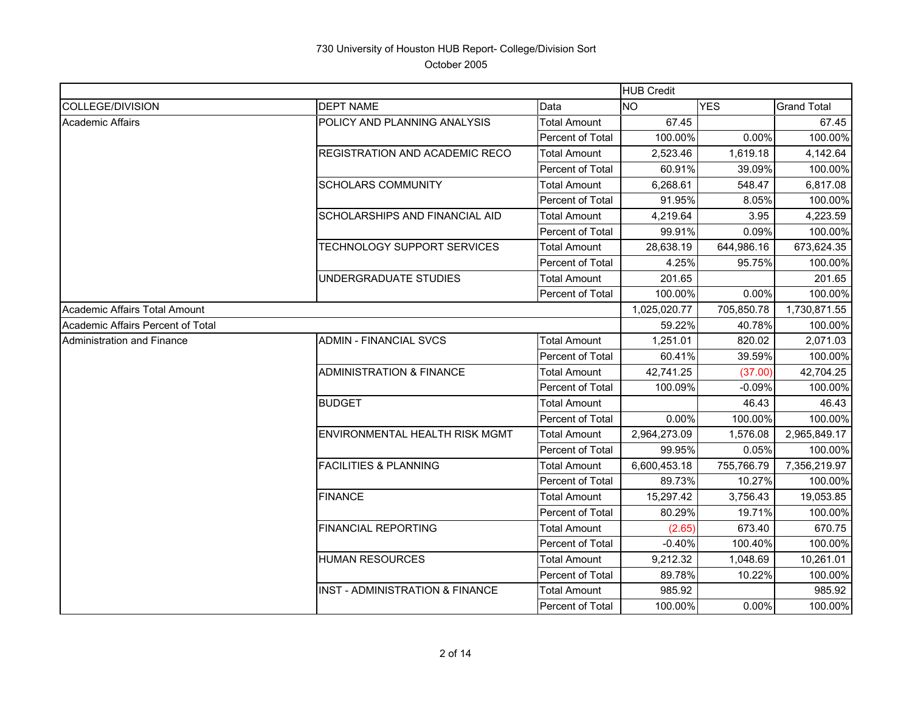|                                   |                                            |                     | <b>HUB Credit</b> |            |                    |
|-----------------------------------|--------------------------------------------|---------------------|-------------------|------------|--------------------|
| <b>COLLEGE/DIVISION</b>           | <b>DEPT NAME</b>                           | Data                | <b>NO</b>         | <b>YES</b> | <b>Grand Total</b> |
| Academic Affairs                  | POLICY AND PLANNING ANALYSIS               | Total Amount        | 67.45             |            | 67.45              |
|                                   |                                            | Percent of Total    | 100.00%           | 0.00%      | 100.00%            |
|                                   | REGISTRATION AND ACADEMIC RECO             | Total Amount        | 2,523.46          | 1,619.18   | 4,142.64           |
|                                   |                                            | Percent of Total    | 60.91%            | 39.09%     | 100.00%            |
|                                   | <b>SCHOLARS COMMUNITY</b>                  | <b>Total Amount</b> | 6.268.61          | 548.47     | 6,817.08           |
|                                   |                                            | Percent of Total    | 91.95%            | 8.05%      | 100.00%            |
|                                   | SCHOLARSHIPS AND FINANCIAL AID             | Total Amount        | 4,219.64          | 3.95       | 4,223.59           |
|                                   |                                            | Percent of Total    | 99.91%            | 0.09%      | 100.00%            |
|                                   | TECHNOLOGY SUPPORT SERVICES                | Total Amount        | 28,638.19         | 644,986.16 | 673,624.35         |
|                                   |                                            | Percent of Total    | 4.25%             | 95.75%     | 100.00%            |
|                                   | UNDERGRADUATE STUDIES                      | <b>Total Amount</b> | 201.65            |            | 201.65             |
|                                   |                                            | Percent of Total    | 100.00%           | 0.00%      | 100.00%            |
| Academic Affairs Total Amount     |                                            |                     | 1,025,020.77      | 705,850.78 | 1,730,871.55       |
| Academic Affairs Percent of Total |                                            |                     | 59.22%            | 40.78%     | 100.00%            |
| Administration and Finance        | <b>ADMIN - FINANCIAL SVCS</b>              | <b>Total Amount</b> | 1,251.01          | 820.02     | 2,071.03           |
|                                   |                                            | Percent of Total    | 60.41%            | 39.59%     | 100.00%            |
|                                   | <b>ADMINISTRATION &amp; FINANCE</b>        | Total Amount        | 42,741.25         | (37.00)    | 42,704.25          |
|                                   |                                            | Percent of Total    | 100.09%           | $-0.09%$   | 100.00%            |
|                                   | <b>BUDGET</b>                              | Total Amount        |                   | 46.43      | 46.43              |
|                                   |                                            | Percent of Total    | 0.00%             | 100.00%    | 100.00%            |
|                                   | ENVIRONMENTAL HEALTH RISK MGMT             | Total Amount        | 2,964,273.09      | 1,576.08   | 2,965,849.17       |
|                                   |                                            | Percent of Total    | 99.95%            | 0.05%      | 100.00%            |
|                                   | <b>FACILITIES &amp; PLANNING</b>           | Total Amount        | 6,600,453.18      | 755,766.79 | 7,356,219.97       |
|                                   |                                            | Percent of Total    | 89.73%            | 10.27%     | 100.00%            |
|                                   | <b>FINANCE</b>                             | <b>Total Amount</b> | 15,297.42         | 3,756.43   | 19,053.85          |
|                                   |                                            | Percent of Total    | 80.29%            | 19.71%     | 100.00%            |
|                                   | <b>FINANCIAL REPORTING</b>                 | Total Amount        | (2.65)            | 673.40     | 670.75             |
|                                   |                                            | Percent of Total    | $-0.40%$          | 100.40%    | 100.00%            |
|                                   | <b>HUMAN RESOURCES</b>                     | Total Amount        | 9,212.32          | 1,048.69   | 10,261.01          |
|                                   |                                            | Percent of Total    | 89.78%            | 10.22%     | 100.00%            |
|                                   | <b>INST - ADMINISTRATION &amp; FINANCE</b> | Total Amount        | 985.92            |            | 985.92             |
|                                   |                                            | Percent of Total    | 100.00%           | 0.00%      | 100.00%            |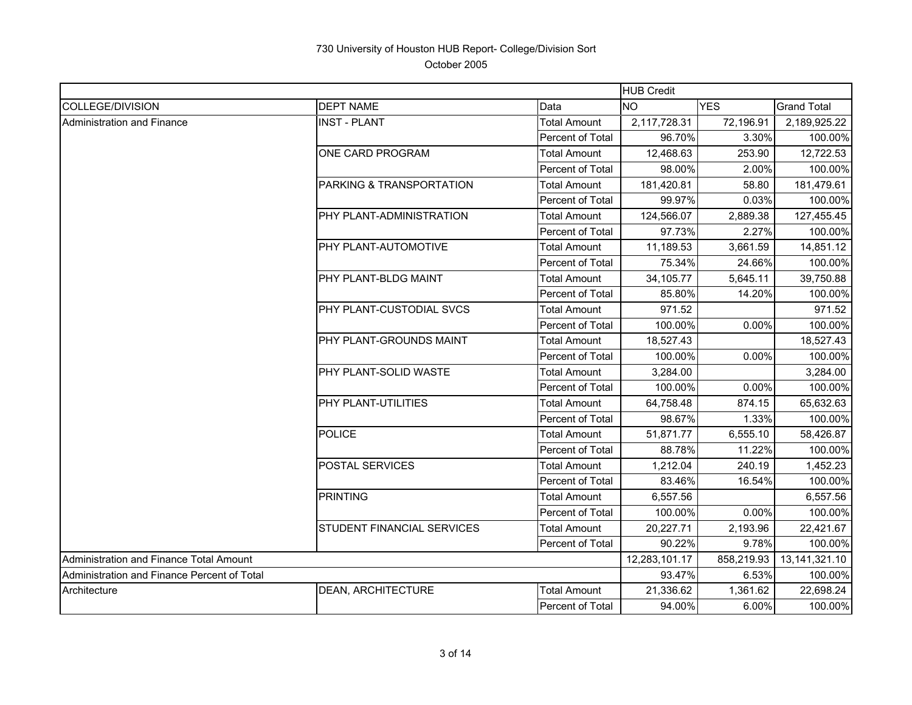|                                             |                                   |                         | <b>HUB Credit</b> |            |                    |
|---------------------------------------------|-----------------------------------|-------------------------|-------------------|------------|--------------------|
| COLLEGE/DIVISION                            | <b>DEPT NAME</b>                  | Data                    | <b>NO</b>         | <b>YES</b> | <b>Grand Total</b> |
| Administration and Finance                  | <b>INST - PLANT</b>               | <b>Total Amount</b>     | 2,117,728.31      | 72,196.91  | 2,189,925.22       |
|                                             |                                   | Percent of Total        | 96.70%            | 3.30%      | 100.00%            |
|                                             | <b>ONE CARD PROGRAM</b>           | <b>Total Amount</b>     | 12,468.63         | 253.90     | 12,722.53          |
|                                             |                                   | Percent of Total        | 98.00%            | 2.00%      | 100.00%            |
|                                             | PARKING & TRANSPORTATION          | Total Amount            | 181,420.81        | 58.80      | 181,479.61         |
|                                             |                                   | Percent of Total        | 99.97%            | 0.03%      | 100.00%            |
|                                             | PHY PLANT-ADMINISTRATION          | <b>Total Amount</b>     | 124,566.07        | 2,889.38   | 127,455.45         |
|                                             |                                   | Percent of Total        | 97.73%            | 2.27%      | 100.00%            |
|                                             | <b>PHY PLANT-AUTOMOTIVE</b>       | Total Amount            | 11,189.53         | 3,661.59   | 14,851.12          |
|                                             |                                   | Percent of Total        | 75.34%            | 24.66%     | 100.00%            |
|                                             | <b>PHY PLANT-BLDG MAINT</b>       | <b>Total Amount</b>     | 34,105.77         | 5,645.11   | 39,750.88          |
|                                             |                                   | <b>Percent of Total</b> | 85.80%            | 14.20%     | 100.00%            |
|                                             | <b>PHY PLANT-CUSTODIAL SVCS</b>   | <b>Total Amount</b>     | 971.52            |            | 971.52             |
|                                             |                                   | Percent of Total        | 100.00%           | 0.00%      | 100.00%            |
|                                             | <b>PHY PLANT-GROUNDS MAINT</b>    | Total Amount            | 18,527.43         |            | 18,527.43          |
|                                             |                                   | Percent of Total        | 100.00%           | 0.00%      | 100.00%            |
|                                             | PHY PLANT-SOLID WASTE             | <b>Total Amount</b>     | 3,284.00          |            | 3,284.00           |
|                                             |                                   | Percent of Total        | 100.00%           | 0.00%      | 100.00%            |
|                                             | PHY PLANT-UTILITIES               | Total Amount            | 64,758.48         | 874.15     | 65,632.63          |
|                                             |                                   | Percent of Total        | 98.67%            | 1.33%      | 100.00%            |
|                                             | <b>POLICE</b>                     | <b>Total Amount</b>     | 51,871.77         | 6,555.10   | 58,426.87          |
|                                             |                                   | Percent of Total        | 88.78%            | 11.22%     | 100.00%            |
|                                             | <b>POSTAL SERVICES</b>            | <b>Total Amount</b>     | 1,212.04          | 240.19     | 1,452.23           |
|                                             |                                   | Percent of Total        | 83.46%            | 16.54%     | 100.00%            |
|                                             | <b>PRINTING</b>                   | <b>Total Amount</b>     | 6,557.56          |            | 6,557.56           |
|                                             |                                   | Percent of Total        | 100.00%           | 0.00%      | 100.00%            |
|                                             | <b>STUDENT FINANCIAL SERVICES</b> | Total Amount            | 20,227.71         | 2,193.96   | 22,421.67          |
|                                             |                                   | Percent of Total        | 90.22%            | 9.78%      | 100.00%            |
| Administration and Finance Total Amount     |                                   |                         | 12,283,101.17     | 858,219.93 | 13,141,321.10      |
| Administration and Finance Percent of Total |                                   |                         | 93.47%            | 6.53%      | 100.00%            |
| Architecture                                | <b>IDEAN. ARCHITECTURE</b>        | Total Amount            | 21.336.62         | 1.361.62   | 22,698.24          |
|                                             |                                   | Percent of Total        | 94.00%            | 6.00%      | 100.00%            |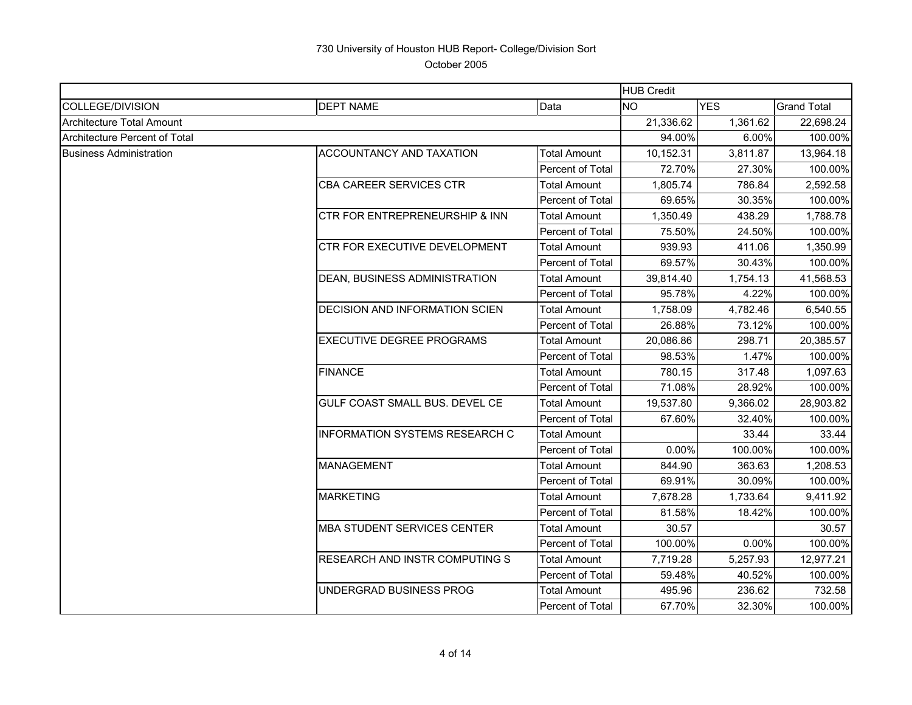|                                  |                                       |                         | <b>HUB Credit</b> |            |                    |
|----------------------------------|---------------------------------------|-------------------------|-------------------|------------|--------------------|
| COLLEGE/DIVISION                 | <b>DEPT NAME</b>                      | Data                    | <b>NO</b>         | <b>YES</b> | <b>Grand Total</b> |
| <b>Architecture Total Amount</b> |                                       |                         | 21,336.62         | 1,361.62   | 22,698.24          |
| Architecture Percent of Total    |                                       |                         | 94.00%            | 6.00%      | 100.00%            |
| <b>Business Administration</b>   | <b>ACCOUNTANCY AND TAXATION</b>       | <b>Total Amount</b>     | 10,152.31         | 3,811.87   | 13,964.18          |
|                                  |                                       | Percent of Total        | 72.70%            | 27.30%     | 100.00%            |
|                                  | <b>CBA CAREER SERVICES CTR</b>        | <b>Total Amount</b>     | 1,805.74          | 786.84     | 2,592.58           |
|                                  |                                       | Percent of Total        | 69.65%            | 30.35%     | 100.00%            |
|                                  | CTR FOR ENTREPRENEURSHIP & INN        | <b>Total Amount</b>     | 1,350.49          | 438.29     | 1,788.78           |
|                                  |                                       | Percent of Total        | 75.50%            | 24.50%     | 100.00%            |
|                                  | CTR FOR EXECUTIVE DEVELOPMENT         | Total Amount            | 939.93            | 411.06     | 1,350.99           |
|                                  |                                       | Percent of Total        | 69.57%            | 30.43%     | 100.00%            |
|                                  | DEAN, BUSINESS ADMINISTRATION         | <b>Total Amount</b>     | 39,814.40         | 1,754.13   | 41,568.53          |
|                                  |                                       | Percent of Total        | 95.78%            | 4.22%      | 100.00%            |
|                                  | <b>DECISION AND INFORMATION SCIEN</b> | <b>Total Amount</b>     | 1,758.09          | 4,782.46   | 6,540.55           |
|                                  |                                       | Percent of Total        | 26.88%            | 73.12%     | 100.00%            |
|                                  | <b>EXECUTIVE DEGREE PROGRAMS</b>      | Total Amount            | 20,086.86         | 298.71     | 20,385.57          |
|                                  |                                       | <b>Percent of Total</b> | 98.53%            | 1.47%      | 100.00%            |
|                                  | <b>FINANCE</b>                        | Total Amount            | 780.15            | 317.48     | 1,097.63           |
|                                  |                                       | Percent of Total        | 71.08%            | 28.92%     | 100.00%            |
|                                  | GULF COAST SMALL BUS. DEVEL CE        | Total Amount            | 19,537.80         | 9,366.02   | 28,903.82          |
|                                  |                                       | Percent of Total        | 67.60%            | 32.40%     | 100.00%            |
|                                  | <b>INFORMATION SYSTEMS RESEARCH C</b> | <b>Total Amount</b>     |                   | 33.44      | 33.44              |
|                                  |                                       | <b>Percent of Total</b> | 0.00%             | 100.00%    | 100.00%            |
|                                  | <b>MANAGEMENT</b>                     | <b>Total Amount</b>     | 844.90            | 363.63     | 1,208.53           |
|                                  |                                       | Percent of Total        | 69.91%            | 30.09%     | 100.00%            |
|                                  | <b>MARKETING</b>                      | Total Amount            | 7,678.28          | 1,733.64   | 9,411.92           |
|                                  |                                       | Percent of Total        | 81.58%            | 18.42%     | 100.00%            |
|                                  | <b>MBA STUDENT SERVICES CENTER</b>    | Total Amount            | 30.57             |            | 30.57              |
|                                  |                                       | <b>Percent of Total</b> | 100.00%           | $0.00\%$   | 100.00%            |
|                                  | RESEARCH AND INSTR COMPUTING S        | <b>Total Amount</b>     | 7,719.28          | 5,257.93   | 12,977.21          |
|                                  |                                       | Percent of Total        | 59.48%            | 40.52%     | 100.00%            |
|                                  | UNDERGRAD BUSINESS PROG               | Total Amount            | 495.96            | 236.62     | 732.58             |
|                                  |                                       | Percent of Total        | 67.70%            | 32.30%     | 100.00%            |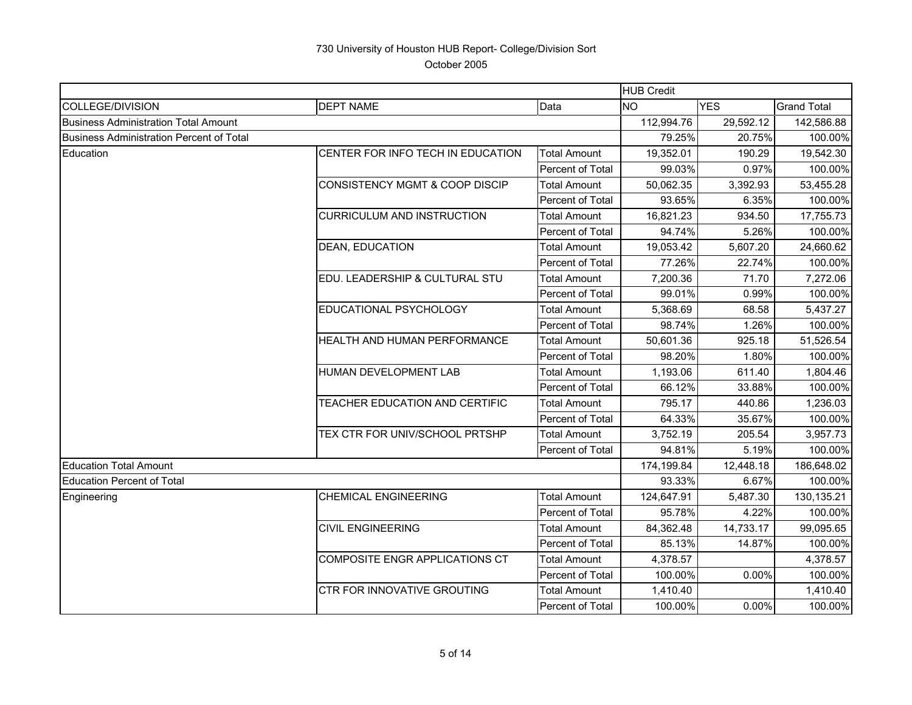|                                             |                                           |                         | <b>HUB Credit</b> |            |                    |
|---------------------------------------------|-------------------------------------------|-------------------------|-------------------|------------|--------------------|
| COLLEGE/DIVISION                            | <b>DEPT NAME</b>                          | Data                    | <b>NO</b>         | <b>YES</b> | <b>Grand Total</b> |
| <b>Business Administration Total Amount</b> |                                           |                         | 112,994.76        | 29,592.12  | 142,586.88         |
| Business Administration Percent of Total    |                                           |                         | 79.25%            | 20.75%     | 100.00%            |
| Education                                   | CENTER FOR INFO TECH IN EDUCATION         | <b>Total Amount</b>     | 19,352.01         | 190.29     | 19,542.30          |
|                                             |                                           | Percent of Total        | 99.03%            | 0.97%      | 100.00%            |
|                                             | <b>CONSISTENCY MGMT &amp; COOP DISCIP</b> | <b>Total Amount</b>     | 50,062.35         | 3,392.93   | 53,455.28          |
|                                             |                                           | Percent of Total        | 93.65%            | 6.35%      | 100.00%            |
|                                             | <b>CURRICULUM AND INSTRUCTION</b>         | Total Amount            | 16,821.23         | 934.50     | 17,755.73          |
|                                             |                                           | Percent of Total        | 94.74%            | 5.26%      | 100.00%            |
|                                             | DEAN, EDUCATION                           | <b>Total Amount</b>     | 19,053.42         | 5,607.20   | 24,660.62          |
|                                             |                                           | Percent of Total        | 77.26%            | 22.74%     | 100.00%            |
|                                             | EDU. LEADERSHIP & CULTURAL STU            | <b>Total Amount</b>     | 7,200.36          | 71.70      | 7,272.06           |
|                                             |                                           | Percent of Total        | 99.01%            | 0.99%      | 100.00%            |
|                                             | EDUCATIONAL PSYCHOLOGY                    | <b>Total Amount</b>     | 5,368.69          | 68.58      | 5,437.27           |
|                                             |                                           | Percent of Total        | 98.74%            | 1.26%      | 100.00%            |
|                                             | HEALTH AND HUMAN PERFORMANCE              | Total Amount            | 50.601.36         | 925.18     | 51,526.54          |
|                                             |                                           | Percent of Total        | 98.20%            | 1.80%      | 100.00%            |
|                                             | HUMAN DEVELOPMENT LAB                     | <b>Total Amount</b>     | 1,193.06          | 611.40     | 1,804.46           |
|                                             |                                           | Percent of Total        | 66.12%            | 33.88%     | 100.00%            |
|                                             | TEACHER EDUCATION AND CERTIFIC            | <b>Total Amount</b>     | 795.17            | 440.86     | 1,236.03           |
|                                             |                                           | Percent of Total        | 64.33%            | 35.67%     | 100.00%            |
|                                             | TEX CTR FOR UNIV/SCHOOL PRTSHP            | <b>Total Amount</b>     | 3,752.19          | 205.54     | 3,957.73           |
|                                             |                                           | Percent of Total        | 94.81%            | 5.19%      | 100.00%            |
| <b>Education Total Amount</b>               |                                           |                         | 174,199.84        | 12,448.18  | 186,648.02         |
| <b>Education Percent of Total</b>           |                                           |                         | 93.33%            | 6.67%      | 100.00%            |
| Engineering                                 | <b>CHEMICAL ENGINEERING</b>               | Total Amount            | 124.647.91        | 5,487.30   | 130,135.21         |
|                                             |                                           | Percent of Total        | 95.78%            | 4.22%      | 100.00%            |
|                                             | <b>CIVIL ENGINEERING</b>                  | <b>Total Amount</b>     | 84,362.48         | 14,733.17  | 99,095.65          |
|                                             |                                           | Percent of Total        | 85.13%            | 14.87%     | 100.00%            |
|                                             | COMPOSITE ENGR APPLICATIONS CT            | <b>Total Amount</b>     | 4,378.57          |            | 4,378.57           |
|                                             |                                           | Percent of Total        | 100.00%           | 0.00%      | 100.00%            |
|                                             | <b>CTR FOR INNOVATIVE GROUTING</b>        | <b>Total Amount</b>     | 1,410.40          |            | 1,410.40           |
|                                             |                                           | <b>Percent of Total</b> | 100.00%           | 0.00%      | 100.00%            |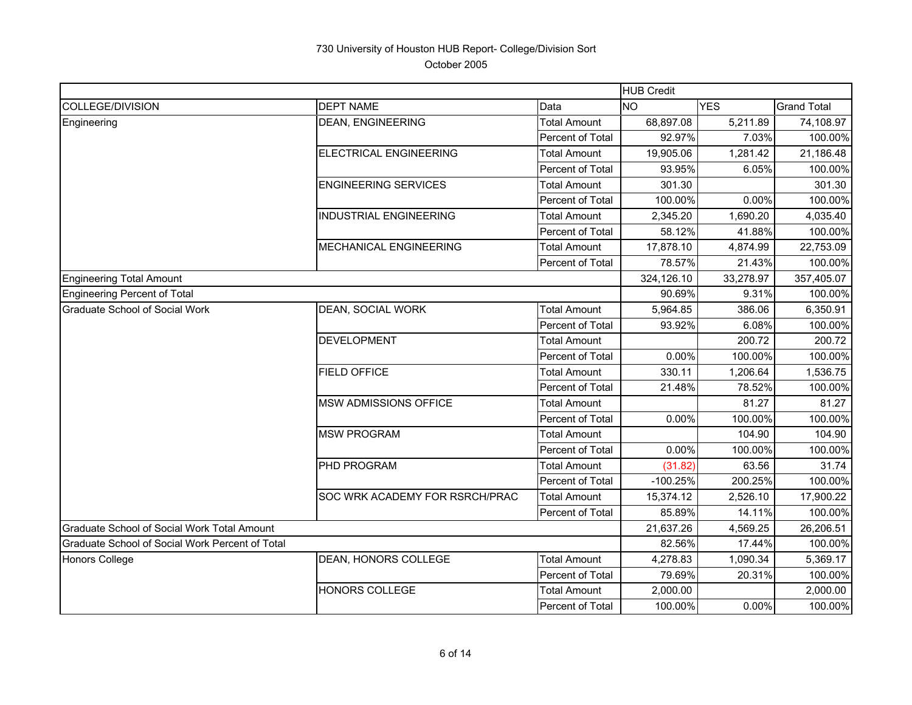|                                                 |                                |                         | <b>HUB Credit</b> |            |                    |
|-------------------------------------------------|--------------------------------|-------------------------|-------------------|------------|--------------------|
| <b>COLLEGE/DIVISION</b>                         | <b>DEPT NAME</b>               | Data                    | <b>NO</b>         | <b>YES</b> | <b>Grand Total</b> |
| Engineering                                     | <b>DEAN, ENGINEERING</b>       | <b>Total Amount</b>     | 68,897.08         | 5,211.89   | 74,108.97          |
|                                                 |                                | Percent of Total        | 92.97%            | 7.03%      | 100.00%            |
|                                                 | <b>ELECTRICAL ENGINEERING</b>  | <b>Total Amount</b>     | 19,905.06         | 1,281.42   | 21,186.48          |
|                                                 |                                | Percent of Total        | 93.95%            | 6.05%      | 100.00%            |
|                                                 | <b>ENGINEERING SERVICES</b>    | <b>Total Amount</b>     | 301.30            |            | 301.30             |
|                                                 |                                | Percent of Total        | 100.00%           | 0.00%      | 100.00%            |
|                                                 | <b>INDUSTRIAL ENGINEERING</b>  | <b>Total Amount</b>     | 2,345.20          | 1,690.20   | 4,035.40           |
|                                                 |                                | Percent of Total        | 58.12%            | 41.88%     | 100.00%            |
|                                                 | MECHANICAL ENGINEERING         | <b>Total Amount</b>     | 17,878.10         | 4,874.99   | 22,753.09          |
|                                                 |                                | Percent of Total        | 78.57%            | 21.43%     | 100.00%            |
| <b>Engineering Total Amount</b>                 |                                |                         | 324,126.10        | 33,278.97  | 357,405.07         |
| <b>Engineering Percent of Total</b>             |                                |                         | 90.69%            | 9.31%      | 100.00%            |
| <b>Graduate School of Social Work</b>           | DEAN, SOCIAL WORK              | <b>Total Amount</b>     | 5,964.85          | 386.06     | 6,350.91           |
|                                                 |                                | Percent of Total        | 93.92%            | 6.08%      | 100.00%            |
|                                                 | <b>DEVELOPMENT</b>             | <b>Total Amount</b>     |                   | 200.72     | 200.72             |
|                                                 |                                | Percent of Total        | 0.00%             | 100.00%    | 100.00%            |
|                                                 | <b>FIELD OFFICE</b>            | <b>Total Amount</b>     | 330.11            | 1,206.64   | 1,536.75           |
|                                                 |                                | Percent of Total        | 21.48%            | 78.52%     | 100.00%            |
|                                                 | <b>MSW ADMISSIONS OFFICE</b>   | <b>Total Amount</b>     |                   | 81.27      | 81.27              |
|                                                 |                                | Percent of Total        | 0.00%             | 100.00%    | 100.00%            |
|                                                 | <b>MSW PROGRAM</b>             | <b>Total Amount</b>     |                   | 104.90     | 104.90             |
|                                                 |                                | Percent of Total        | 0.00%             | 100.00%    | 100.00%            |
|                                                 | PHD PROGRAM                    | <b>Total Amount</b>     | (31.82)           | 63.56      | 31.74              |
|                                                 |                                | Percent of Total        | $-100.25%$        | 200.25%    | 100.00%            |
|                                                 | SOC WRK ACADEMY FOR RSRCH/PRAC | <b>Total Amount</b>     | 15,374.12         | 2,526.10   | 17,900.22          |
|                                                 |                                | Percent of Total        | 85.89%            | 14.11%     | 100.00%            |
| Graduate School of Social Work Total Amount     |                                |                         | 21,637.26         | 4,569.25   | 26,206.51          |
| Graduate School of Social Work Percent of Total |                                |                         | 82.56%            | 17.44%     | 100.00%            |
| <b>Honors College</b>                           | DEAN, HONORS COLLEGE           | <b>Total Amount</b>     | 4,278.83          | 1,090.34   | 5,369.17           |
|                                                 |                                | Percent of Total        | 79.69%            | 20.31%     | 100.00%            |
|                                                 | <b>HONORS COLLEGE</b>          | <b>Total Amount</b>     | 2,000.00          |            | 2,000.00           |
|                                                 |                                | <b>Percent of Total</b> | 100.00%           | 0.00%      | 100.00%            |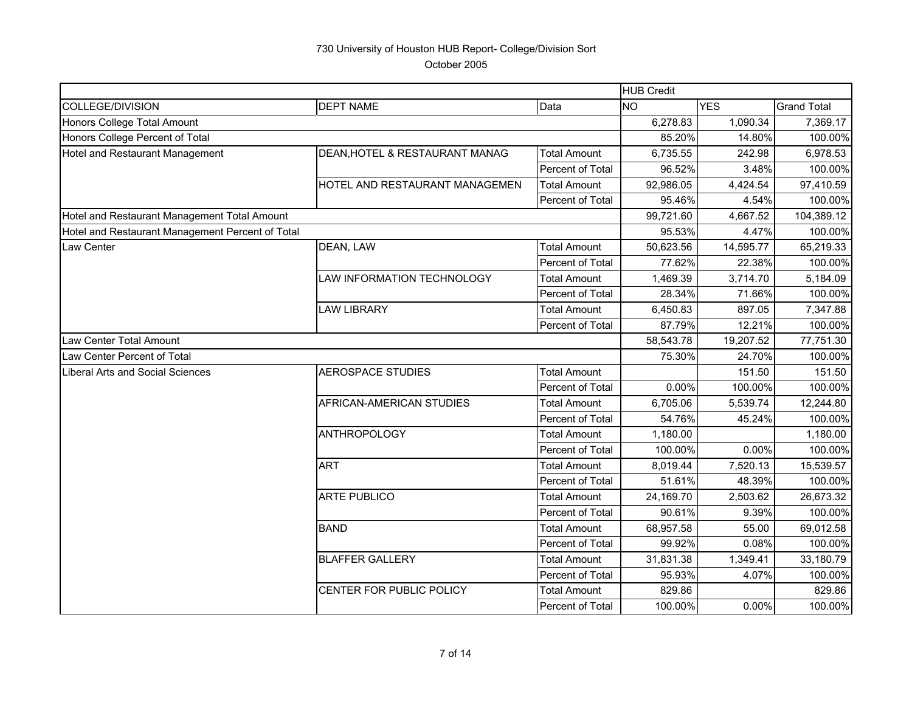HUB CreditCOLLEGE/DIVISION DEPT NAME Data NO YES Grand Total Honors College Total Amount 6,278.83 1,090.34 7,369.17 Honors College Percent of Total 85.20% 100.00% 100.00% 100.00% 100.00% 100.00% 100.00% 100.00% 100.00% 100.00% Hotel and Restaurant Management **DEAN,HOTEL & RESTAURANT MANAG** Total Amount 6,735.55 242.98 6,978.53 Percent of Total 96.52% 3.48% 100.00% HOTEL AND RESTAURANT MANAGEMEN Total Amount | 92.986.05 | 4.424.54 | 97.410.59 Percent of Total 1  $95.46\%$  4.54% 100.00% Hotel and Restaurant Management Total Amount 100 Amount 100 Amount 104,089.12 104,389.12 Hotel and Restaurant Management Percent of Total 95.53% 4.47% 100.00% Law Center DEAN, LAW Total Amount 50,623.56 14,595.77 65,219.33 Percent of Total | 77.62% 22.38% 100.00% LAW INFORMATION TECHNOLOGY | Total Amount | 1,469.39 3,714.70 | 5,184.09 Percent of Total 28.34% 71.66% 100.00% LAW LIBRARY Total Amount 6,450.83 897.05 7,347.88 Percent of Total **87.79% 12.21% 100.00%** Law Center Total Amount 58,543.78 19,207.52 77,751.30 Law Center Percent of Total 75.30% 24.70% 100.00% Liberal Arts and Social SciencesAEROSPACE STUDIES TOTAL Total Amount 151.50 151.50 151.50 Percent of Total 0.00% 100.00% 100.00% AFRICAN-AMERICAN STUDIES Total Amount | 6.705.06 5.539.74 12.244.80 Percent of Total 54.76% 45.24% 100.00% ANTHROPOLOGY **Total Amount 1,180.00** 1,180.00 Percent of Total 100.00% 0.00% 100.00% ART Total Amount 8,019.44 7,520.13 15,539.57 Percent of Total | 51.61% 48.39% 100.00% ARTE PUBLICO Total Amount 24,169.70 2,503.62 26,673.32 Percent of Total | 90.61% 9.39% | 100.00% BAND 69.012.58 55.00 56.012.58 Percent of Total | 99.92% 0.08% 100.00% BLAFFER GALLERY **Total Amount 1 31,831.38** 1.349.41 33,180.79 Percent of Total | 95.93% 4.07% 100.00% CENTER FOR PUBLIC POLICY Total Amount | 829.86 829.86 Percent of Total 100.00% 0.00% 100.00%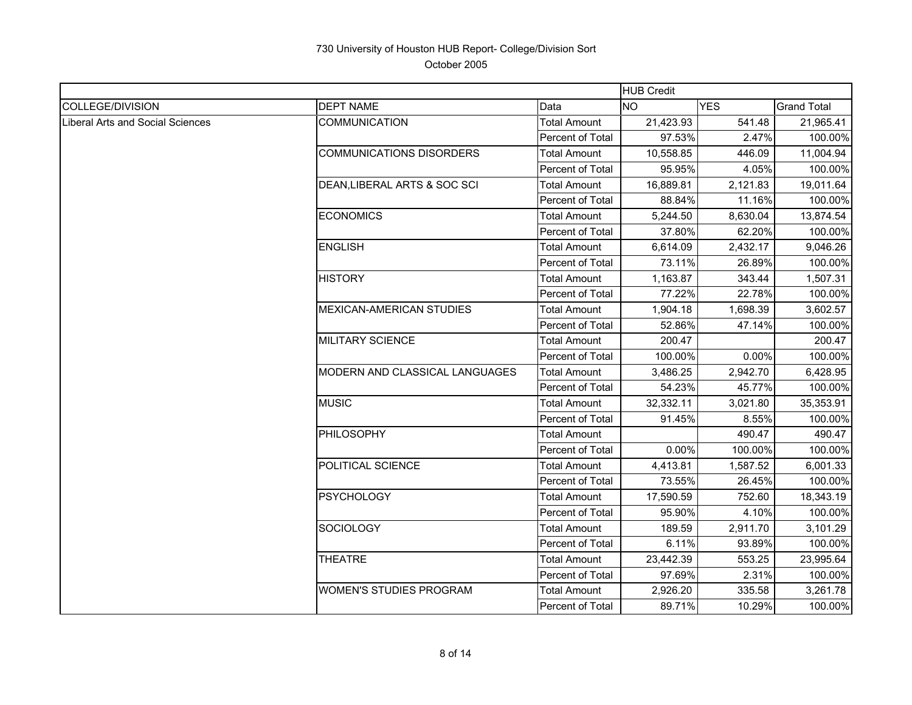|                                  |                                 |                         | <b>HUB Credit</b> |            |                    |
|----------------------------------|---------------------------------|-------------------------|-------------------|------------|--------------------|
| COLLEGE/DIVISION                 | <b>DEPT NAME</b>                | Data                    | <b>NO</b>         | <b>YES</b> | <b>Grand Total</b> |
| Liberal Arts and Social Sciences | <b>COMMUNICATION</b>            | <b>Total Amount</b>     | 21,423.93         | 541.48     | 21,965.41          |
|                                  |                                 | <b>Percent of Total</b> | 97.53%            | 2.47%      | 100.00%            |
|                                  | <b>COMMUNICATIONS DISORDERS</b> | <b>Total Amount</b>     | 10,558.85         | 446.09     | 11,004.94          |
|                                  |                                 | Percent of Total        | 95.95%            | 4.05%      | 100.00%            |
|                                  | DEAN, LIBERAL ARTS & SOC SCI    | Total Amount            | 16,889.81         | 2,121.83   | 19,011.64          |
|                                  |                                 | <b>Percent of Total</b> | 88.84%            | 11.16%     | 100.00%            |
|                                  | <b>ECONOMICS</b>                | <b>Total Amount</b>     | 5,244.50          | 8,630.04   | 13,874.54          |
|                                  |                                 | Percent of Total        | 37.80%            | 62.20%     | 100.00%            |
|                                  | <b>ENGLISH</b>                  | Total Amount            | 6,614.09          | 2,432.17   | 9,046.26           |
|                                  |                                 | Percent of Total        | 73.11%            | 26.89%     | 100.00%            |
|                                  | <b>HISTORY</b>                  | Total Amount            | 1,163.87          | 343.44     | 1,507.31           |
|                                  |                                 | Percent of Total        | 77.22%            | 22.78%     | 100.00%            |
|                                  | <b>MEXICAN-AMERICAN STUDIES</b> | <b>Total Amount</b>     | 1,904.18          | 1,698.39   | 3,602.57           |
|                                  |                                 | Percent of Total        | 52.86%            | 47.14%     | 100.00%            |
|                                  | <b>MILITARY SCIENCE</b>         | <b>Total Amount</b>     | 200.47            |            | 200.47             |
|                                  |                                 | Percent of Total        | 100.00%           | 0.00%      | 100.00%            |
|                                  | MODERN AND CLASSICAL LANGUAGES  | Total Amount            | 3,486.25          | 2,942.70   | 6,428.95           |
|                                  |                                 | Percent of Total        | 54.23%            | 45.77%     | 100.00%            |
|                                  | <b>MUSIC</b>                    | <b>Total Amount</b>     | 32,332.11         | 3,021.80   | 35,353.91          |
|                                  |                                 | <b>Percent of Total</b> | 91.45%            | 8.55%      | 100.00%            |
|                                  | PHILOSOPHY                      | <b>Total Amount</b>     |                   | 490.47     | 490.47             |
|                                  |                                 | Percent of Total        | 0.00%             | 100.00%    | 100.00%            |
|                                  | POLITICAL SCIENCE               | <b>Total Amount</b>     | 4,413.81          | 1,587.52   | 6,001.33           |
|                                  |                                 | Percent of Total        | 73.55%            | 26.45%     | 100.00%            |
|                                  | <b>PSYCHOLOGY</b>               | <b>Total Amount</b>     | 17,590.59         | 752.60     | 18,343.19          |
|                                  |                                 | Percent of Total        | 95.90%            | 4.10%      | 100.00%            |
|                                  | <b>SOCIOLOGY</b>                | <b>Total Amount</b>     | 189.59            | 2,911.70   | 3,101.29           |
|                                  |                                 | Percent of Total        | 6.11%             | 93.89%     | 100.00%            |
|                                  | <b>THEATRE</b>                  | Total Amount            | 23,442.39         | 553.25     | 23,995.64          |
|                                  |                                 | Percent of Total        | 97.69%            | 2.31%      | 100.00%            |
|                                  | <b>WOMEN'S STUDIES PROGRAM</b>  | Total Amount            | 2,926.20          | 335.58     | 3,261.78           |
|                                  |                                 | Percent of Total        | 89.71%            | 10.29%     | 100.00%            |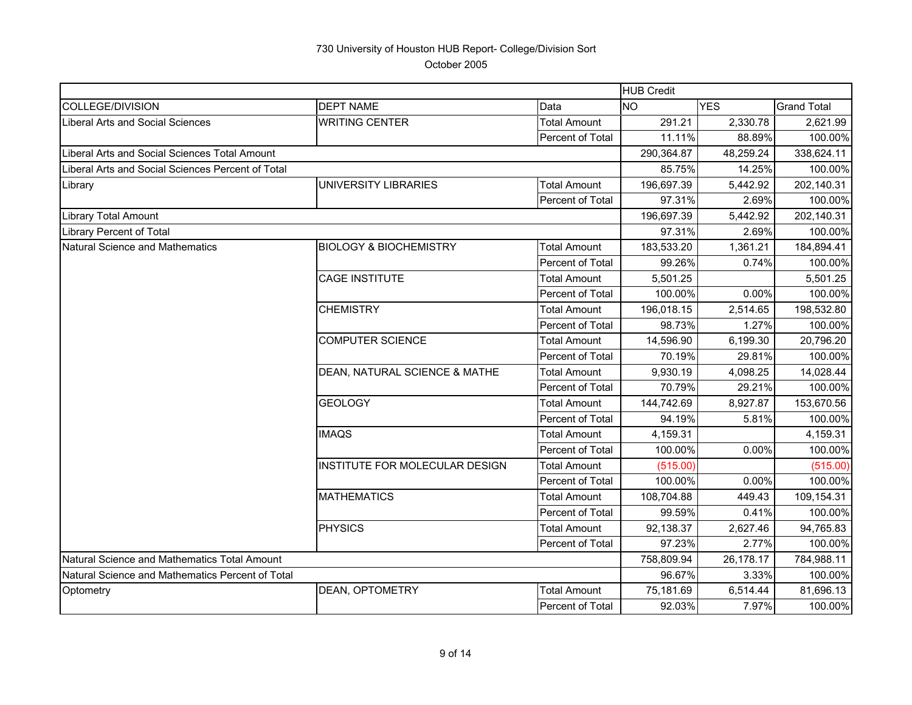|                                                   |                                   |                     | <b>HUB Credit</b> |            |                    |
|---------------------------------------------------|-----------------------------------|---------------------|-------------------|------------|--------------------|
| <b>COLLEGE/DIVISION</b>                           | <b>DEPT NAME</b>                  | Data                | <b>INO</b>        | <b>YES</b> | <b>Grand Total</b> |
| Liberal Arts and Social Sciences                  | <b>WRITING CENTER</b>             | <b>Total Amount</b> | 291.21            | 2,330.78   | 2,621.99           |
|                                                   |                                   | Percent of Total    | 11.11%            | 88.89%     | 100.00%            |
| Liberal Arts and Social Sciences Total Amount     |                                   |                     | 290,364.87        | 48,259.24  | 338,624.11         |
| Liberal Arts and Social Sciences Percent of Total |                                   |                     | 85.75%            | 14.25%     | 100.00%            |
| Library                                           | UNIVERSITY LIBRARIES              | <b>Total Amount</b> | 196,697.39        | 5,442.92   | 202,140.31         |
|                                                   |                                   | Percent of Total    | 97.31%            | 2.69%      | 100.00%            |
| <b>Library Total Amount</b>                       |                                   |                     | 196,697.39        | 5,442.92   | 202,140.31         |
| <b>Library Percent of Total</b>                   |                                   |                     | 97.31%            | 2.69%      | 100.00%            |
| <b>Natural Science and Mathematics</b>            | <b>BIOLOGY &amp; BIOCHEMISTRY</b> | <b>Total Amount</b> | 183,533.20        | 1,361.21   | 184,894.41         |
|                                                   |                                   | Percent of Total    | 99.26%            | 0.74%      | 100.00%            |
|                                                   | <b>CAGE INSTITUTE</b>             | <b>Total Amount</b> | 5,501.25          |            | 5,501.25           |
|                                                   |                                   | Percent of Total    | 100.00%           | 0.00%      | 100.00%            |
|                                                   | <b>CHEMISTRY</b>                  | <b>Total Amount</b> | 196,018.15        | 2,514.65   | 198,532.80         |
|                                                   |                                   | Percent of Total    | 98.73%            | 1.27%      | 100.00%            |
|                                                   | <b>COMPUTER SCIENCE</b>           | <b>Total Amount</b> | 14,596.90         | 6,199.30   | 20,796.20          |
|                                                   |                                   | Percent of Total    | 70.19%            | 29.81%     | 100.00%            |
|                                                   | DEAN, NATURAL SCIENCE & MATHE     | <b>Total Amount</b> | 9,930.19          | 4,098.25   | 14,028.44          |
|                                                   |                                   | Percent of Total    | 70.79%            | 29.21%     | 100.00%            |
|                                                   | <b>GEOLOGY</b>                    | <b>Total Amount</b> | 144,742.69        | 8,927.87   | 153,670.56         |
|                                                   |                                   | Percent of Total    | 94.19%            | 5.81%      | 100.00%            |
|                                                   | <b>IMAQS</b>                      | <b>Total Amount</b> | 4,159.31          |            | 4,159.31           |
|                                                   |                                   | Percent of Total    | 100.00%           | 0.00%      | 100.00%            |
|                                                   | INSTITUTE FOR MOLECULAR DESIGN    | <b>Total Amount</b> | (515.00)          |            | (515.00)           |
|                                                   |                                   | Percent of Total    | 100.00%           | 0.00%      | 100.00%            |
|                                                   | <b>MATHEMATICS</b>                | <b>Total Amount</b> | 108,704.88        | 449.43     | 109,154.31         |
|                                                   |                                   | Percent of Total    | 99.59%            | 0.41%      | 100.00%            |
|                                                   | PHYSICS                           | <b>Total Amount</b> | 92,138.37         | 2,627.46   | 94,765.83          |
|                                                   |                                   | Percent of Total    | 97.23%            | 2.77%      | 100.00%            |
| Natural Science and Mathematics Total Amount      |                                   |                     | 758,809.94        | 26,178.17  | 784,988.11         |
| Natural Science and Mathematics Percent of Total  |                                   |                     | 96.67%            | 3.33%      | 100.00%            |
| Optometry                                         | <b>DEAN, OPTOMETRY</b>            | <b>Total Amount</b> | 75,181.69         | 6,514.44   | 81,696.13          |
|                                                   |                                   | Percent of Total    | 92.03%            | 7.97%      | 100.00%            |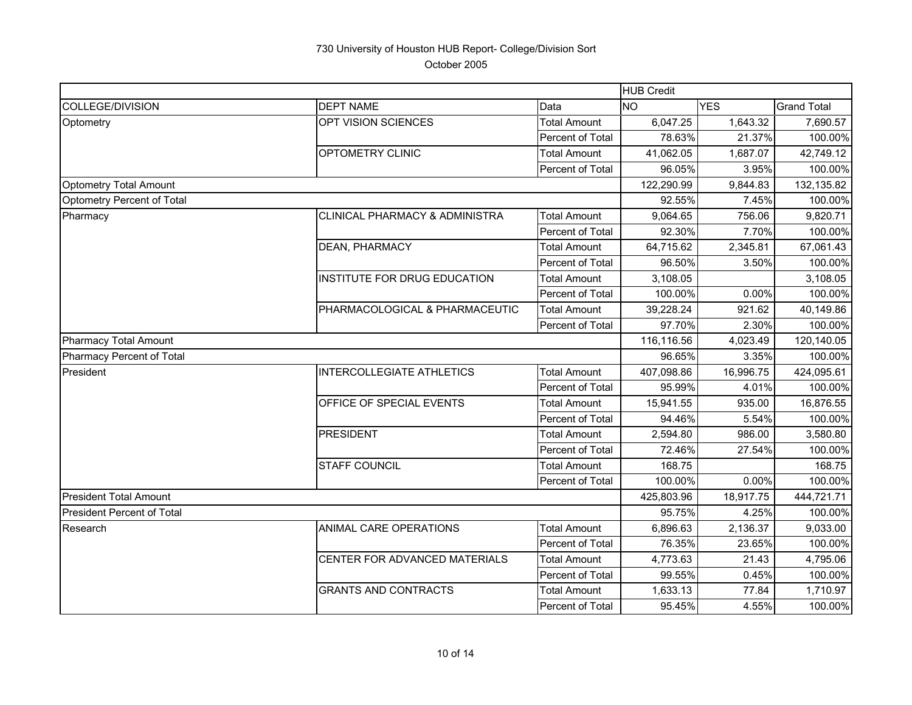|                                   |                                           |                         | <b>HUB Credit</b> |            |                    |
|-----------------------------------|-------------------------------------------|-------------------------|-------------------|------------|--------------------|
| <b>COLLEGE/DIVISION</b>           | <b>DEPT NAME</b>                          | Data                    | <b>NO</b>         | <b>YES</b> | <b>Grand Total</b> |
| Optometry                         | OPT VISION SCIENCES                       | <b>Total Amount</b>     | 6,047.25          | 1,643.32   | 7,690.57           |
|                                   |                                           | Percent of Total        | 78.63%            | 21.37%     | 100.00%            |
|                                   | OPTOMETRY CLINIC                          | <b>Total Amount</b>     | 41,062.05         | 1,687.07   | 42,749.12          |
|                                   |                                           | <b>Percent of Total</b> | 96.05%            | 3.95%      | 100.00%            |
| <b>Optometry Total Amount</b>     |                                           |                         | 122,290.99        | 9,844.83   | 132,135.82         |
| Optometry Percent of Total        |                                           |                         | 92.55%            | 7.45%      | 100.00%            |
| Pharmacy                          | <b>CLINICAL PHARMACY &amp; ADMINISTRA</b> | <b>Total Amount</b>     | 9,064.65          | 756.06     | 9,820.71           |
|                                   |                                           | Percent of Total        | 92.30%            | 7.70%      | 100.00%            |
|                                   | DEAN, PHARMACY                            | <b>Total Amount</b>     | 64,715.62         | 2,345.81   | 67,061.43          |
|                                   |                                           | Percent of Total        | 96.50%            | 3.50%      | 100.00%            |
|                                   | INSTITUTE FOR DRUG EDUCATION              | <b>Total Amount</b>     | 3,108.05          |            | 3,108.05           |
|                                   |                                           | Percent of Total        | 100.00%           | 0.00%      | 100.00%            |
|                                   | PHARMACOLOGICAL & PHARMACEUTIC            | <b>Total Amount</b>     | 39,228.24         | 921.62     | 40,149.86          |
|                                   |                                           | Percent of Total        | 97.70%            | 2.30%      | 100.00%            |
| <b>Pharmacy Total Amount</b>      |                                           |                         | 116,116.56        | 4,023.49   | 120,140.05         |
| Pharmacy Percent of Total         |                                           |                         | 96.65%            | 3.35%      | 100.00%            |
| President                         | <b>INTERCOLLEGIATE ATHLETICS</b>          | <b>Total Amount</b>     | 407,098.86        | 16,996.75  | 424,095.61         |
|                                   |                                           | Percent of Total        | 95.99%            | 4.01%      | 100.00%            |
|                                   | OFFICE OF SPECIAL EVENTS                  | <b>Total Amount</b>     | 15,941.55         | 935.00     | 16,876.55          |
|                                   |                                           | <b>Percent of Total</b> | 94.46%            | 5.54%      | 100.00%            |
|                                   | <b>PRESIDENT</b>                          | <b>Total Amount</b>     | 2,594.80          | 986.00     | 3,580.80           |
|                                   |                                           | Percent of Total        | 72.46%            | 27.54%     | 100.00%            |
|                                   | <b>STAFF COUNCIL</b>                      | <b>Total Amount</b>     | 168.75            |            | 168.75             |
|                                   |                                           | Percent of Total        | 100.00%           | 0.00%      | 100.00%            |
| <b>President Total Amount</b>     |                                           |                         | 425,803.96        | 18,917.75  | 444,721.71         |
| <b>President Percent of Total</b> |                                           |                         | 95.75%            | 4.25%      | 100.00%            |
| Research                          | ANIMAL CARE OPERATIONS                    | <b>Total Amount</b>     | 6,896.63          | 2,136.37   | 9,033.00           |
|                                   |                                           | Percent of Total        | 76.35%            | 23.65%     | 100.00%            |
|                                   | CENTER FOR ADVANCED MATERIALS             | <b>Total Amount</b>     | 4,773.63          | 21.43      | 4,795.06           |
|                                   |                                           | Percent of Total        | 99.55%            | 0.45%      | 100.00%            |
|                                   | <b>GRANTS AND CONTRACTS</b>               | <b>Total Amount</b>     | 1,633.13          | 77.84      | 1,710.97           |
|                                   |                                           | Percent of Total        | 95.45%            | 4.55%      | 100.00%            |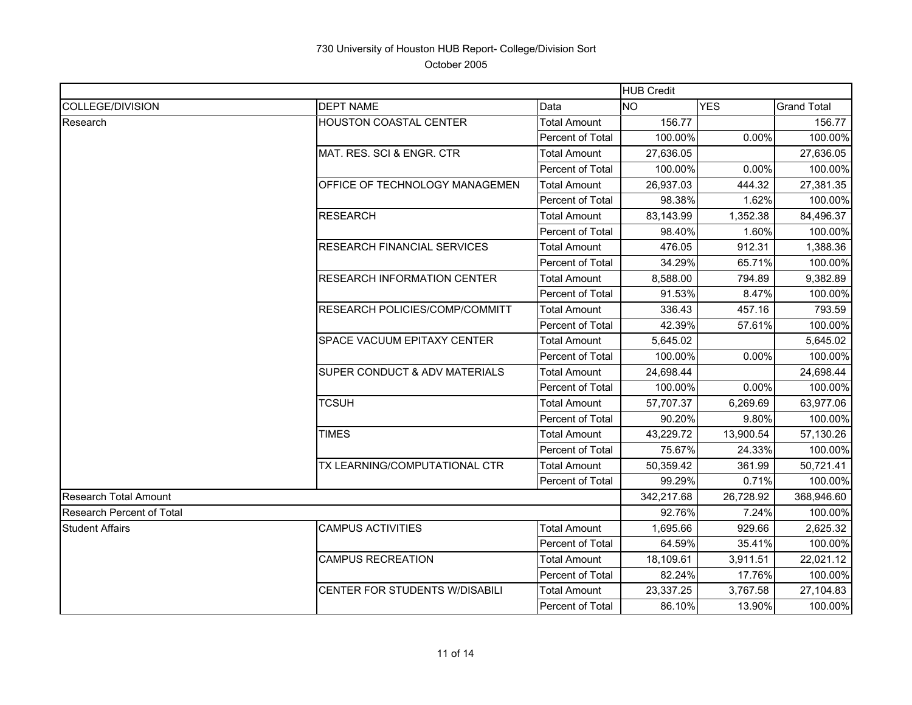|                                  |                                       |                         | <b>HUB Credit</b> |            |                    |
|----------------------------------|---------------------------------------|-------------------------|-------------------|------------|--------------------|
| COLLEGE/DIVISION                 | <b>DEPT NAME</b>                      | Data                    | <b>NO</b>         | <b>YES</b> | <b>Grand Total</b> |
| Research                         | <b>HOUSTON COASTAL CENTER</b>         | <b>Total Amount</b>     | 156.77            |            | 156.77             |
|                                  |                                       | Percent of Total        | 100.00%           | 0.00%      | 100.00%            |
|                                  | MAT. RES. SCI & ENGR. CTR             | <b>Total Amount</b>     | 27,636.05         |            | 27,636.05          |
|                                  |                                       | Percent of Total        | 100.00%           | 0.00%      | 100.00%            |
|                                  | <b>OFFICE OF TECHNOLOGY MANAGEMEN</b> | <b>Total Amount</b>     | 26,937.03         | 444.32     | 27,381.35          |
|                                  |                                       | Percent of Total        | 98.38%            | 1.62%      | 100.00%            |
|                                  | <b>RESEARCH</b>                       | Total Amount            | 83,143.99         | 1,352.38   | 84,496.37          |
|                                  |                                       | Percent of Total        | 98.40%            | 1.60%      | 100.00%            |
|                                  | <b>RESEARCH FINANCIAL SERVICES</b>    | Total Amount            | 476.05            | 912.31     | 1,388.36           |
|                                  |                                       | Percent of Total        | 34.29%            | 65.71%     | 100.00%            |
|                                  | <b>RESEARCH INFORMATION CENTER</b>    | <b>Total Amount</b>     | 8,588.00          | 794.89     | 9,382.89           |
|                                  |                                       | <b>Percent of Total</b> | 91.53%            | 8.47%      | 100.00%            |
|                                  | <b>RESEARCH POLICIES/COMP/COMMITT</b> | <b>Total Amount</b>     | 336.43            | 457.16     | 793.59             |
|                                  |                                       | Percent of Total        | 42.39%            | 57.61%     | 100.00%            |
|                                  | <b>SPACE VACUUM EPITAXY CENTER</b>    | <b>Total Amount</b>     | 5,645.02          |            | 5,645.02           |
|                                  |                                       | Percent of Total        | 100.00%           | 0.00%      | 100.00%            |
|                                  | SUPER CONDUCT & ADV MATERIALS         | Total Amount            | 24.698.44         |            | 24,698.44          |
|                                  |                                       | Percent of Total        | 100.00%           | 0.00%      | 100.00%            |
|                                  | <b>TCSUH</b>                          | Total Amount            | 57,707.37         | 6,269.69   | 63,977.06          |
|                                  |                                       | Percent of Total        | 90.20%            | 9.80%      | 100.00%            |
|                                  | <b>TIMES</b>                          | <b>Total Amount</b>     | 43,229.72         | 13,900.54  | 57,130.26          |
|                                  |                                       | Percent of Total        | 75.67%            | 24.33%     | 100.00%            |
|                                  | TX LEARNING/COMPUTATIONAL CTR         | <b>Total Amount</b>     | 50,359.42         | 361.99     | 50,721.41          |
|                                  |                                       | Percent of Total        | 99.29%            | 0.71%      | 100.00%            |
| Research Total Amount            |                                       |                         | 342.217.68        | 26.728.92  | 368.946.60         |
| <b>Research Percent of Total</b> |                                       |                         | 92.76%            | 7.24%      | 100.00%            |
| <b>Student Affairs</b>           | <b>CAMPUS ACTIVITIES</b>              | Total Amount            | 1,695.66          | 929.66     | 2,625.32           |
|                                  |                                       | Percent of Total        | 64.59%            | 35.41%     | 100.00%            |
|                                  | <b>CAMPUS RECREATION</b>              | <b>Total Amount</b>     | 18,109.61         | 3,911.51   | 22,021.12          |
|                                  |                                       | Percent of Total        | 82.24%            | 17.76%     | 100.00%            |
|                                  | CENTER FOR STUDENTS W/DISABILI        | <b>Total Amount</b>     | 23,337.25         | 3,767.58   | 27,104.83          |
|                                  |                                       | Percent of Total        | 86.10%            | 13.90%     | 100.00%            |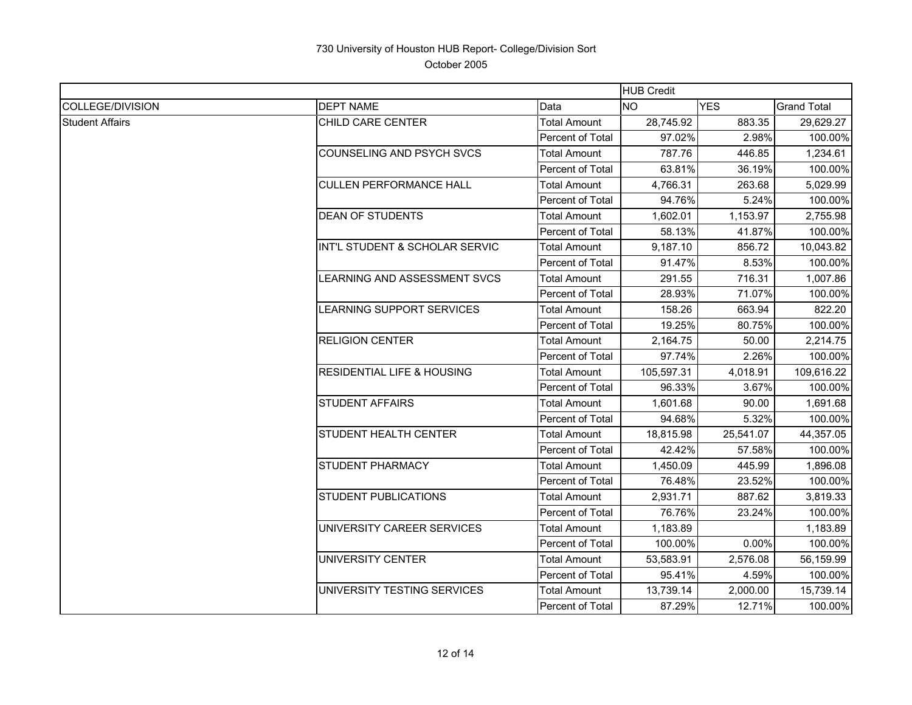|                         |                                       |                     | <b>HUB Credit</b> |            |                    |
|-------------------------|---------------------------------------|---------------------|-------------------|------------|--------------------|
| <b>COLLEGE/DIVISION</b> | <b>DEPT NAME</b>                      | Data                | <b>NO</b>         | <b>YES</b> | <b>Grand Total</b> |
| <b>Student Affairs</b>  | CHILD CARE CENTER                     | Total Amount        | 28,745.92         | 883.35     | 29,629.27          |
|                         |                                       | Percent of Total    | 97.02%            | 2.98%      | 100.00%            |
|                         | <b>COUNSELING AND PSYCH SVCS</b>      | Total Amount        | 787.76            | 446.85     | 1,234.61           |
|                         |                                       | Percent of Total    | 63.81%            | 36.19%     | 100.00%            |
|                         | <b>CULLEN PERFORMANCE HALL</b>        | Total Amount        | 4,766.31          | 263.68     | 5,029.99           |
|                         |                                       | Percent of Total    | 94.76%            | 5.24%      | 100.00%            |
|                         | <b>DEAN OF STUDENTS</b>               | <b>Total Amount</b> | 1,602.01          | 1,153.97   | 2,755.98           |
|                         |                                       | Percent of Total    | 58.13%            | 41.87%     | 100.00%            |
|                         | INT'L STUDENT & SCHOLAR SERVIC        | Total Amount        | 9,187.10          | 856.72     | 10,043.82          |
|                         |                                       | Percent of Total    | 91.47%            | 8.53%      | 100.00%            |
|                         | LEARNING AND ASSESSMENT SVCS          | <b>Total Amount</b> | 291.55            | 716.31     | 1,007.86           |
|                         |                                       | Percent of Total    | 28.93%            | 71.07%     | 100.00%            |
|                         | <b>EARNING SUPPORT SERVICES</b>       | <b>Total Amount</b> | 158.26            | 663.94     | 822.20             |
|                         |                                       | Percent of Total    | 19.25%            | 80.75%     | 100.00%            |
|                         | <b>RELIGION CENTER</b>                | Total Amount        | 2,164.75          | 50.00      | 2,214.75           |
|                         |                                       | Percent of Total    | 97.74%            | 2.26%      | 100.00%            |
|                         | <b>RESIDENTIAL LIFE &amp; HOUSING</b> | Total Amount        | 105,597.31        | 4,018.91   | 109,616.22         |
|                         |                                       | Percent of Total    | 96.33%            | 3.67%      | 100.00%            |
|                         | <b>STUDENT AFFAIRS</b>                | Total Amount        | 1,601.68          | 90.00      | 1,691.68           |
|                         |                                       | Percent of Total    | 94.68%            | 5.32%      | 100.00%            |
|                         | STUDENT HEALTH CENTER                 | Total Amount        | 18,815.98         | 25,541.07  | 44,357.05          |
|                         |                                       | Percent of Total    | 42.42%            | 57.58%     | 100.00%            |
|                         | STUDENT PHARMACY                      | Total Amount        | 1,450.09          | 445.99     | 1,896.08           |
|                         |                                       | Percent of Total    | 76.48%            | 23.52%     | 100.00%            |
|                         | <b>STUDENT PUBLICATIONS</b>           | <b>Total Amount</b> | 2,931.71          | 887.62     | 3,819.33           |
|                         |                                       | Percent of Total    | 76.76%            | 23.24%     | 100.00%            |
|                         | UNIVERSITY CAREER SERVICES            | <b>Total Amount</b> | 1,183.89          |            | 1,183.89           |
|                         |                                       | Percent of Total    | 100.00%           | 0.00%      | 100.00%            |
|                         | UNIVERSITY CENTER                     | Total Amount        | 53,583.91         | 2,576.08   | 56,159.99          |
|                         |                                       | Percent of Total    | 95.41%            | 4.59%      | 100.00%            |
|                         | UNIVERSITY TESTING SERVICES           | Total Amount        | 13,739.14         | 2,000.00   | 15,739.14          |
|                         |                                       | Percent of Total    | 87.29%            | 12.71%     | 100.00%            |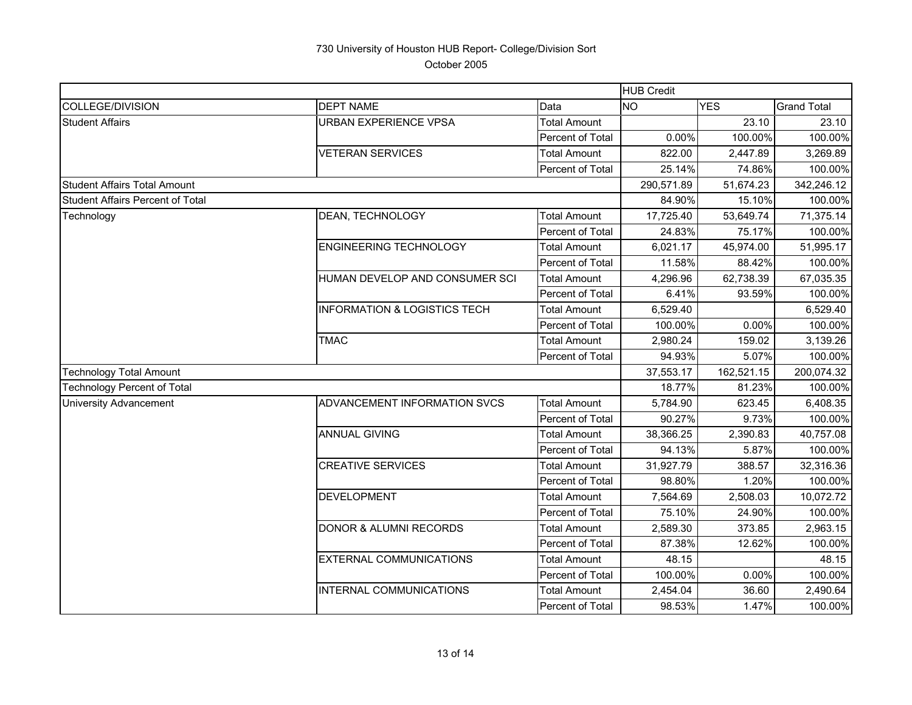|                                         |                                         |                         | <b>HUB Credit</b> |            |                    |
|-----------------------------------------|-----------------------------------------|-------------------------|-------------------|------------|--------------------|
| <b>COLLEGE/DIVISION</b>                 | <b>DEPT NAME</b>                        | Data                    | <b>NO</b>         | <b>YES</b> | <b>Grand Total</b> |
| <b>Student Affairs</b>                  | <b>URBAN EXPERIENCE VPSA</b>            | <b>Total Amount</b>     |                   | 23.10      | 23.10              |
|                                         |                                         | Percent of Total        | 0.00%             | 100.00%    | 100.00%            |
|                                         | <b>VETERAN SERVICES</b>                 | <b>Total Amount</b>     | 822.00            | 2,447.89   | 3,269.89           |
|                                         |                                         | Percent of Total        | 25.14%            | 74.86%     | 100.00%            |
| <b>Student Affairs Total Amount</b>     |                                         |                         | 290,571.89        | 51,674.23  | 342,246.12         |
| <b>Student Affairs Percent of Total</b> |                                         |                         | 84.90%            | 15.10%     | 100.00%            |
| Technology                              | DEAN, TECHNOLOGY                        | Total Amount            | 17,725.40         | 53,649.74  | 71,375.14          |
|                                         |                                         | Percent of Total        | 24.83%            | 75.17%     | 100.00%            |
|                                         | <b>ENGINEERING TECHNOLOGY</b>           | <b>Total Amount</b>     | 6,021.17          | 45,974.00  | 51,995.17          |
|                                         |                                         | Percent of Total        | 11.58%            | 88.42%     | 100.00%            |
|                                         | HUMAN DEVELOP AND CONSUMER SCI          | <b>Total Amount</b>     | 4,296.96          | 62,738.39  | 67,035.35          |
|                                         |                                         | Percent of Total        | 6.41%             | 93.59%     | 100.00%            |
|                                         | <b>INFORMATION &amp; LOGISTICS TECH</b> | <b>Total Amount</b>     | 6,529.40          |            | 6,529.40           |
|                                         |                                         | <b>Percent of Total</b> | 100.00%           | 0.00%      | 100.00%            |
|                                         | <b>TMAC</b>                             | <b>Total Amount</b>     | 2,980.24          | 159.02     | 3,139.26           |
|                                         |                                         | Percent of Total        | 94.93%            | 5.07%      | 100.00%            |
| <b>Technology Total Amount</b>          |                                         |                         | 37,553.17         | 162,521.15 | 200,074.32         |
| <b>Technology Percent of Total</b>      |                                         |                         | 18.77%            | 81.23%     | 100.00%            |
| <b>University Advancement</b>           | ADVANCEMENT INFORMATION SVCS            | <b>Total Amount</b>     | 5,784.90          | 623.45     | 6,408.35           |
|                                         |                                         | Percent of Total        | 90.27%            | 9.73%      | 100.00%            |
|                                         | <b>ANNUAL GIVING</b>                    | Total Amount            | 38,366.25         | 2,390.83   | 40,757.08          |
|                                         |                                         | Percent of Total        | 94.13%            | 5.87%      | 100.00%            |
|                                         | <b>CREATIVE SERVICES</b>                | <b>Total Amount</b>     | 31,927.79         | 388.57     | 32,316.36          |
|                                         |                                         | <b>Percent of Total</b> | 98.80%            | 1.20%      | 100.00%            |
|                                         | <b>DEVELOPMENT</b>                      | <b>Total Amount</b>     | 7,564.69          | 2,508.03   | 10,072.72          |
|                                         |                                         | Percent of Total        | 75.10%            | 24.90%     | 100.00%            |
|                                         | <b>DONOR &amp; ALUMNI RECORDS</b>       | <b>Total Amount</b>     | 2,589.30          | 373.85     | 2,963.15           |
|                                         |                                         | Percent of Total        | 87.38%            | 12.62%     | 100.00%            |
|                                         | <b>EXTERNAL COMMUNICATIONS</b>          | <b>Total Amount</b>     | 48.15             |            | 48.15              |
|                                         |                                         | Percent of Total        | 100.00%           | 0.00%      | 100.00%            |
|                                         | INTERNAL COMMUNICATIONS                 | <b>Total Amount</b>     | 2,454.04          | 36.60      | 2,490.64           |
|                                         |                                         | Percent of Total        | 98.53%            | 1.47%      | 100.00%            |